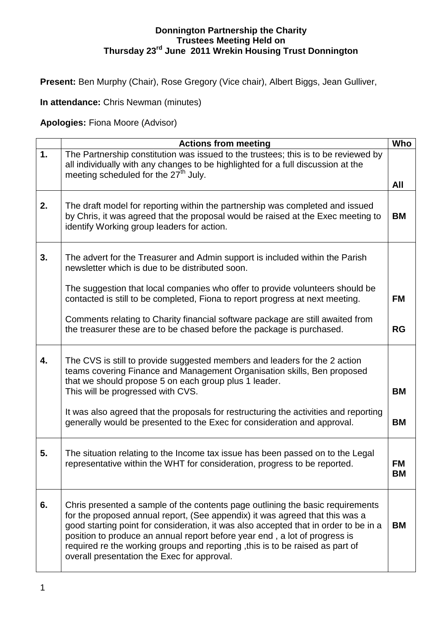## **Donnington Partnership the Charity Trustees Meeting Held on Thursday 23rd June 2011 Wrekin Housing Trust Donnington**

**Present:** Ben Murphy (Chair), Rose Gregory (Vice chair), Albert Biggs, Jean Gulliver,

**In attendance:** Chris Newman (minutes)

**Apologies:** Fiona Moore (Advisor)

|    | <b>Actions from meeting</b>                                                                                                                                                                                                                                                                                                                                                                                                                                           | Who                    |
|----|-----------------------------------------------------------------------------------------------------------------------------------------------------------------------------------------------------------------------------------------------------------------------------------------------------------------------------------------------------------------------------------------------------------------------------------------------------------------------|------------------------|
| 1. | The Partnership constitution was issued to the trustees; this is to be reviewed by<br>all individually with any changes to be highlighted for a full discussion at the<br>meeting scheduled for the 27 <sup>th</sup> July.                                                                                                                                                                                                                                            |                        |
|    |                                                                                                                                                                                                                                                                                                                                                                                                                                                                       | All                    |
| 2. | The draft model for reporting within the partnership was completed and issued<br>by Chris, it was agreed that the proposal would be raised at the Exec meeting to<br>identify Working group leaders for action.                                                                                                                                                                                                                                                       | <b>BM</b>              |
| 3. | The advert for the Treasurer and Admin support is included within the Parish<br>newsletter which is due to be distributed soon.                                                                                                                                                                                                                                                                                                                                       |                        |
|    | The suggestion that local companies who offer to provide volunteers should be<br>contacted is still to be completed, Fiona to report progress at next meeting.                                                                                                                                                                                                                                                                                                        | <b>FM</b>              |
|    | Comments relating to Charity financial software package are still awaited from<br>the treasurer these are to be chased before the package is purchased.                                                                                                                                                                                                                                                                                                               | <b>RG</b>              |
| 4. | The CVS is still to provide suggested members and leaders for the 2 action<br>teams covering Finance and Management Organisation skills, Ben proposed<br>that we should propose 5 on each group plus 1 leader.<br>This will be progressed with CVS.                                                                                                                                                                                                                   | <b>BM</b>              |
|    | It was also agreed that the proposals for restructuring the activities and reporting<br>generally would be presented to the Exec for consideration and approval.                                                                                                                                                                                                                                                                                                      | <b>BM</b>              |
| 5. | The situation relating to the Income tax issue has been passed on to the Legal<br>representative within the WHT for consideration, progress to be reported.                                                                                                                                                                                                                                                                                                           | <b>FM</b><br><b>BM</b> |
| 6. | Chris presented a sample of the contents page outlining the basic requirements<br>for the proposed annual report, (See appendix) it was agreed that this was a<br>good starting point for consideration, it was also accepted that in order to be in a<br>position to produce an annual report before year end, a lot of progress is<br>required re the working groups and reporting , this is to be raised as part of<br>overall presentation the Exec for approval. | <b>BM</b>              |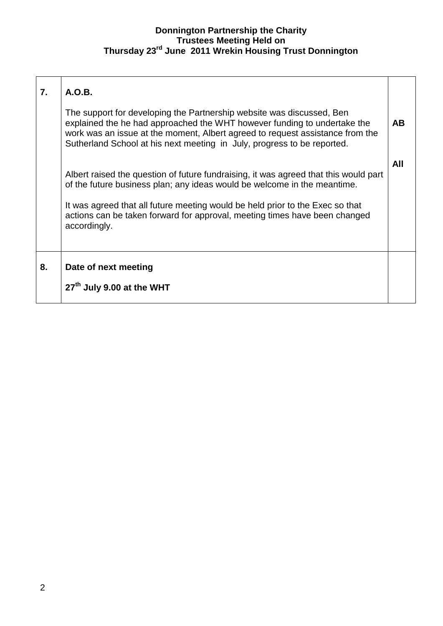## **Donnington Partnership the Charity Trustees Meeting Held on Thursday 23rd June 2011 Wrekin Housing Trust Donnington**

| 7. | A.O.B.                                                                                                                                                                                                                                                                                                        |           |
|----|---------------------------------------------------------------------------------------------------------------------------------------------------------------------------------------------------------------------------------------------------------------------------------------------------------------|-----------|
|    | The support for developing the Partnership website was discussed, Ben<br>explained the he had approached the WHT however funding to undertake the<br>work was an issue at the moment, Albert agreed to request assistance from the<br>Sutherland School at his next meeting in July, progress to be reported. | <b>AB</b> |
|    | Albert raised the question of future fundraising, it was agreed that this would part<br>of the future business plan; any ideas would be welcome in the meantime.                                                                                                                                              | All       |
|    | It was agreed that all future meeting would be held prior to the Exec so that<br>actions can be taken forward for approval, meeting times have been changed<br>accordingly.                                                                                                                                   |           |
| 8. | Date of next meeting                                                                                                                                                                                                                                                                                          |           |
|    | 27 <sup>th</sup> July 9.00 at the WHT                                                                                                                                                                                                                                                                         |           |